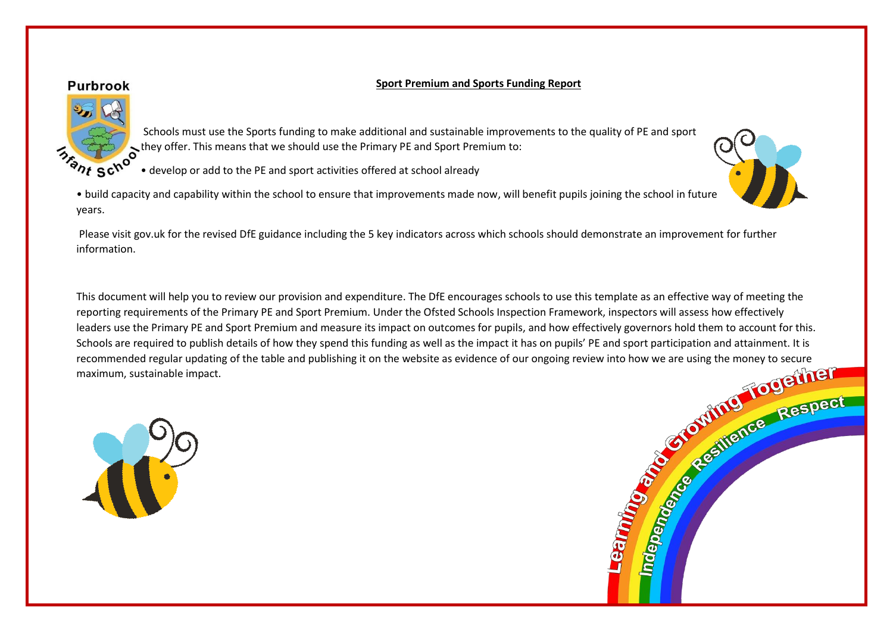## **Sport Premium and Sports Funding Report**

## **Purbrook**



• develop or add to the PE and sport activities offered at school already

• build capacity and capability within the school to ensure that improvements made now, will benefit pupils joining the school in future years.

Please visit gov.uk for the revised DfE guidance including the 5 key indicators across which schools should demonstrate an improvement for further information.

This document will help you to review our provision and expenditure. The DfE encourages schools to use this template as an effective way of meeting the leaders use the Primary PE and Sport Premium and measure its impact on outcomes for pupils, and how effectively governors hold them to account for this. Schools are required to publish details of how they spend this funding as well as the impact it has on pupils' PE and sport participation and attainment. It is recommended regular updating of the table and publishing it on the website as evidence of our ongoing review into how we are using the money to secure maximum, sustainable impact.





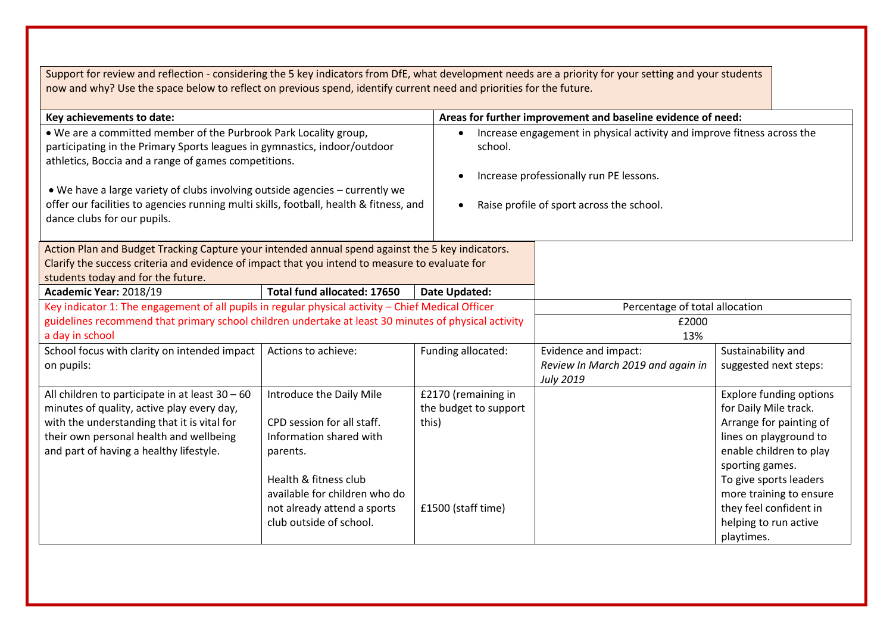| Support for review and reflection - considering the 5 key indicators from DfE, what development needs are a priority for your setting and your students<br>now and why? Use the space below to reflect on previous spend, identify current need and priorities for the future.                                                                                                                                 |                                                                                                                                                                                                                   |                                                                                                                                                                                                      |                                                                               |                                                                                                                                                                                                                                                                    |
|----------------------------------------------------------------------------------------------------------------------------------------------------------------------------------------------------------------------------------------------------------------------------------------------------------------------------------------------------------------------------------------------------------------|-------------------------------------------------------------------------------------------------------------------------------------------------------------------------------------------------------------------|------------------------------------------------------------------------------------------------------------------------------------------------------------------------------------------------------|-------------------------------------------------------------------------------|--------------------------------------------------------------------------------------------------------------------------------------------------------------------------------------------------------------------------------------------------------------------|
| Key achievements to date:                                                                                                                                                                                                                                                                                                                                                                                      |                                                                                                                                                                                                                   |                                                                                                                                                                                                      | Areas for further improvement and baseline evidence of need:                  |                                                                                                                                                                                                                                                                    |
| . We are a committed member of the Purbrook Park Locality group,<br>participating in the Primary Sports leagues in gymnastics, indoor/outdoor<br>athletics, Boccia and a range of games competitions.<br>• We have a large variety of clubs involving outside agencies – currently we<br>offer our facilities to agencies running multi skills, football, health & fitness, and<br>dance clubs for our pupils. |                                                                                                                                                                                                                   | Increase engagement in physical activity and improve fitness across the<br>$\bullet$<br>school.<br>Increase professionally run PE lessons.<br>Raise profile of sport across the school.<br>$\bullet$ |                                                                               |                                                                                                                                                                                                                                                                    |
| Action Plan and Budget Tracking Capture your intended annual spend against the 5 key indicators.<br>Clarify the success criteria and evidence of impact that you intend to measure to evaluate for<br>students today and for the future.                                                                                                                                                                       |                                                                                                                                                                                                                   |                                                                                                                                                                                                      |                                                                               |                                                                                                                                                                                                                                                                    |
| Academic Year: 2018/19                                                                                                                                                                                                                                                                                                                                                                                         | Total fund allocated: 17650                                                                                                                                                                                       | <b>Date Updated:</b>                                                                                                                                                                                 |                                                                               |                                                                                                                                                                                                                                                                    |
| Key indicator 1: The engagement of all pupils in regular physical activity - Chief Medical Officer<br>guidelines recommend that primary school children undertake at least 30 minutes of physical activity<br>a day in school                                                                                                                                                                                  |                                                                                                                                                                                                                   | Percentage of total allocation<br>£2000<br>13%                                                                                                                                                       |                                                                               |                                                                                                                                                                                                                                                                    |
| School focus with clarity on intended impact<br>on pupils:                                                                                                                                                                                                                                                                                                                                                     | Actions to achieve:                                                                                                                                                                                               | Funding allocated:                                                                                                                                                                                   | Evidence and impact:<br>Review In March 2019 and again in<br><b>July 2019</b> | Sustainability and<br>suggested next steps:                                                                                                                                                                                                                        |
| All children to participate in at least 30 - 60<br>minutes of quality, active play every day,<br>with the understanding that it is vital for<br>their own personal health and wellbeing<br>and part of having a healthy lifestyle.                                                                                                                                                                             | Introduce the Daily Mile<br>CPD session for all staff.<br>Information shared with<br>parents.<br>Health & fitness club<br>available for children who do<br>not already attend a sports<br>club outside of school. | £2170 (remaining in<br>the budget to support<br>this)<br>£1500 (staff time)                                                                                                                          |                                                                               | <b>Explore funding options</b><br>for Daily Mile track.<br>Arrange for painting of<br>lines on playground to<br>enable children to play<br>sporting games.<br>To give sports leaders<br>more training to ensure<br>they feel confident in<br>helping to run active |
|                                                                                                                                                                                                                                                                                                                                                                                                                |                                                                                                                                                                                                                   |                                                                                                                                                                                                      |                                                                               | playtimes.                                                                                                                                                                                                                                                         |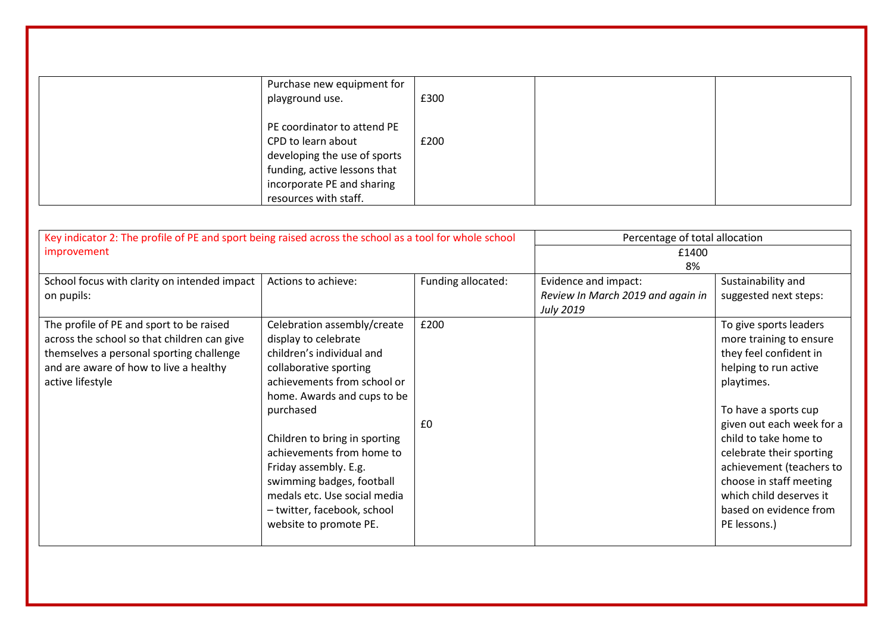| Purchase new equipment for<br>playground use.                                                                                                                            | £300 |  |
|--------------------------------------------------------------------------------------------------------------------------------------------------------------------------|------|--|
| PE coordinator to attend PE<br>CPD to learn about<br>developing the use of sports<br>funding, active lessons that<br>incorporate PE and sharing<br>resources with staff. | £200 |  |

| Key indicator 2: The profile of PE and sport being raised across the school as a tool for whole school |                               |                    | Percentage of total allocation    |                           |  |
|--------------------------------------------------------------------------------------------------------|-------------------------------|--------------------|-----------------------------------|---------------------------|--|
| improvement                                                                                            |                               |                    | £1400                             |                           |  |
|                                                                                                        |                               |                    | 8%                                |                           |  |
| School focus with clarity on intended impact                                                           | Actions to achieve:           | Funding allocated: | Evidence and impact:              | Sustainability and        |  |
| on pupils:                                                                                             |                               |                    | Review In March 2019 and again in | suggested next steps:     |  |
|                                                                                                        |                               |                    | <b>July 2019</b>                  |                           |  |
| The profile of PE and sport to be raised                                                               | Celebration assembly/create   | £200               |                                   | To give sports leaders    |  |
| across the school so that children can give                                                            | display to celebrate          |                    |                                   | more training to ensure   |  |
| themselves a personal sporting challenge                                                               | children's individual and     |                    |                                   | they feel confident in    |  |
| and are aware of how to live a healthy                                                                 | collaborative sporting        |                    |                                   | helping to run active     |  |
| active lifestyle                                                                                       | achievements from school or   |                    |                                   | playtimes.                |  |
|                                                                                                        | home. Awards and cups to be   |                    |                                   |                           |  |
|                                                                                                        | purchased                     |                    |                                   | To have a sports cup      |  |
|                                                                                                        |                               | £0                 |                                   | given out each week for a |  |
|                                                                                                        | Children to bring in sporting |                    |                                   | child to take home to     |  |
|                                                                                                        | achievements from home to     |                    |                                   | celebrate their sporting  |  |
|                                                                                                        | Friday assembly. E.g.         |                    |                                   | achievement (teachers to  |  |
|                                                                                                        | swimming badges, football     |                    |                                   | choose in staff meeting   |  |
|                                                                                                        | medals etc. Use social media  |                    |                                   | which child deserves it   |  |
|                                                                                                        | - twitter, facebook, school   |                    |                                   | based on evidence from    |  |
|                                                                                                        | website to promote PE.        |                    |                                   | PE lessons.)              |  |
|                                                                                                        |                               |                    |                                   |                           |  |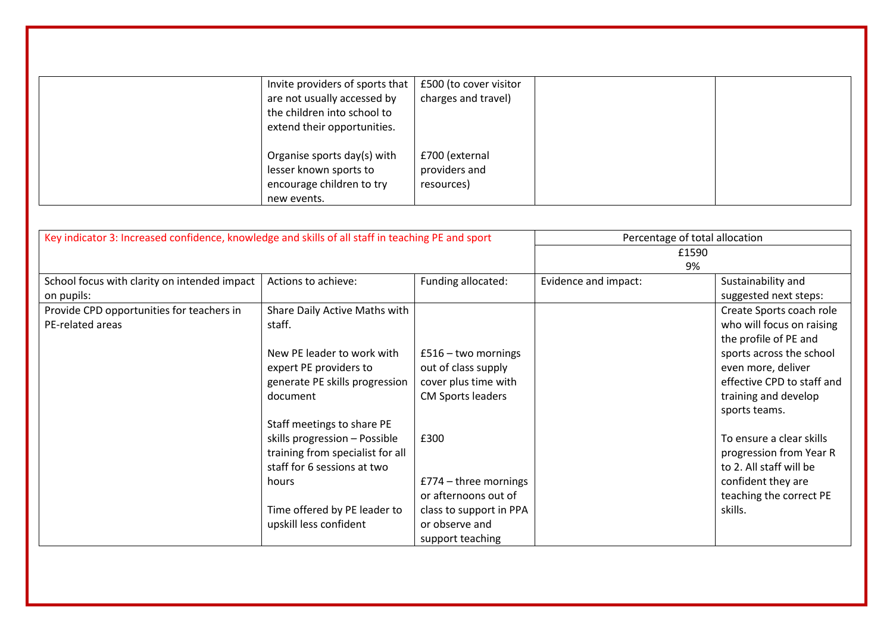| Invite providers of sports that | £500 (to cover visitor |  |
|---------------------------------|------------------------|--|
| are not usually accessed by     | charges and travel)    |  |
| the children into school to     |                        |  |
| extend their opportunities.     |                        |  |
|                                 |                        |  |
| Organise sports day(s) with     | £700 (external         |  |
| lesser known sports to          | providers and          |  |
| encourage children to try       | resources)             |  |
| new events.                     |                        |  |

| Key indicator 3: Increased confidence, knowledge and skills of all staff in teaching PE and sport |                                  | Percentage of total allocation |                      |                            |
|---------------------------------------------------------------------------------------------------|----------------------------------|--------------------------------|----------------------|----------------------------|
|                                                                                                   |                                  | £1590                          |                      |                            |
|                                                                                                   |                                  |                                | 9%                   |                            |
| School focus with clarity on intended impact                                                      | Actions to achieve:              | Funding allocated:             | Evidence and impact: | Sustainability and         |
| on pupils:                                                                                        |                                  |                                |                      | suggested next steps:      |
| Provide CPD opportunities for teachers in                                                         | Share Daily Active Maths with    |                                |                      | Create Sports coach role   |
| PE-related areas                                                                                  | staff.                           |                                |                      | who will focus on raising  |
|                                                                                                   |                                  |                                |                      | the profile of PE and      |
|                                                                                                   | New PE leader to work with       | $£516 - two mornings$          |                      | sports across the school   |
|                                                                                                   | expert PE providers to           | out of class supply            |                      | even more, deliver         |
|                                                                                                   | generate PE skills progression   | cover plus time with           |                      | effective CPD to staff and |
|                                                                                                   | document                         | <b>CM Sports leaders</b>       |                      | training and develop       |
|                                                                                                   |                                  |                                |                      | sports teams.              |
|                                                                                                   | Staff meetings to share PE       |                                |                      |                            |
|                                                                                                   | skills progression - Possible    | £300                           |                      | To ensure a clear skills   |
|                                                                                                   | training from specialist for all |                                |                      | progression from Year R    |
|                                                                                                   | staff for 6 sessions at two      |                                |                      | to 2. All staff will be    |
|                                                                                                   | hours                            | $£774 - three mornings$        |                      | confident they are         |
|                                                                                                   |                                  | or afternoons out of           |                      | teaching the correct PE    |
|                                                                                                   | Time offered by PE leader to     | class to support in PPA        |                      | skills.                    |
|                                                                                                   | upskill less confident           | or observe and                 |                      |                            |
|                                                                                                   |                                  | support teaching               |                      |                            |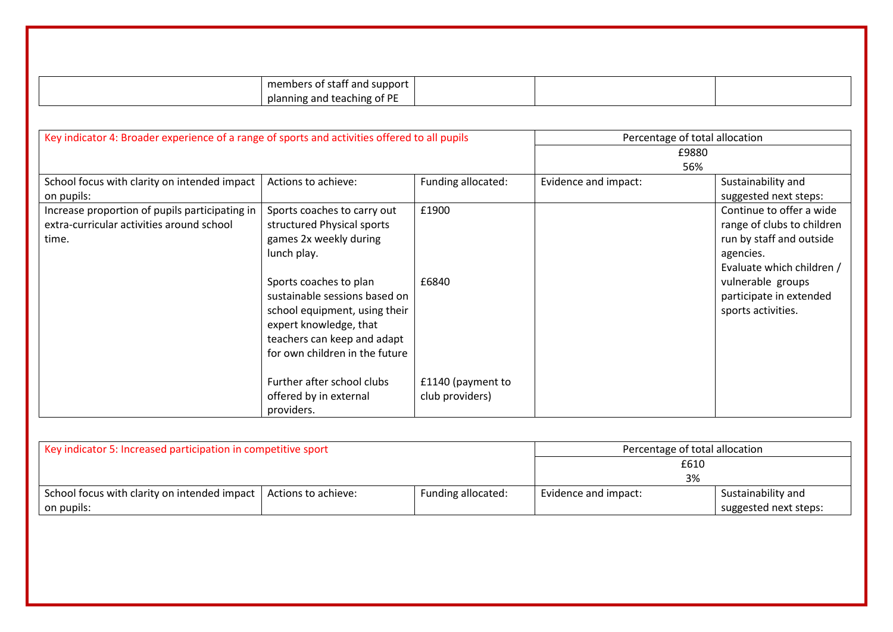|                                                                                                      | members of staff and support                                                                                                                                                        |                                      |                                |                                                                                                                              |
|------------------------------------------------------------------------------------------------------|-------------------------------------------------------------------------------------------------------------------------------------------------------------------------------------|--------------------------------------|--------------------------------|------------------------------------------------------------------------------------------------------------------------------|
|                                                                                                      | planning and teaching of PE                                                                                                                                                         |                                      |                                |                                                                                                                              |
|                                                                                                      |                                                                                                                                                                                     |                                      |                                |                                                                                                                              |
| Key indicator 4: Broader experience of a range of sports and activities offered to all pupils        |                                                                                                                                                                                     |                                      | Percentage of total allocation |                                                                                                                              |
|                                                                                                      |                                                                                                                                                                                     |                                      | £9880                          |                                                                                                                              |
|                                                                                                      |                                                                                                                                                                                     |                                      | 56%                            |                                                                                                                              |
| School focus with clarity on intended impact<br>on pupils:                                           | Actions to achieve:                                                                                                                                                                 | Funding allocated:                   | Evidence and impact:           | Sustainability and<br>suggested next steps:                                                                                  |
| Increase proportion of pupils participating in<br>extra-curricular activities around school<br>time. | Sports coaches to carry out<br>structured Physical sports<br>games 2x weekly during<br>lunch play.                                                                                  | £1900                                |                                | Continue to offer a wide<br>range of clubs to children<br>run by staff and outside<br>agencies.<br>Evaluate which children / |
|                                                                                                      | Sports coaches to plan<br>sustainable sessions based on<br>school equipment, using their<br>expert knowledge, that<br>teachers can keep and adapt<br>for own children in the future | £6840                                |                                | vulnerable groups<br>participate in extended<br>sports activities.                                                           |
|                                                                                                      | Further after school clubs<br>offered by in external<br>providers.                                                                                                                  | £1140 (payment to<br>club providers) |                                |                                                                                                                              |

| Key indicator 5: Increased participation in competitive sport      |  |                    | Percentage of total allocation |                       |
|--------------------------------------------------------------------|--|--------------------|--------------------------------|-----------------------|
|                                                                    |  |                    | £610                           |                       |
|                                                                    |  |                    | 3%                             |                       |
| School focus with clarity on intended impact   Actions to achieve: |  | Funding allocated: | Evidence and impact:           | Sustainability and    |
| on pupils:                                                         |  |                    |                                | suggested next steps: |